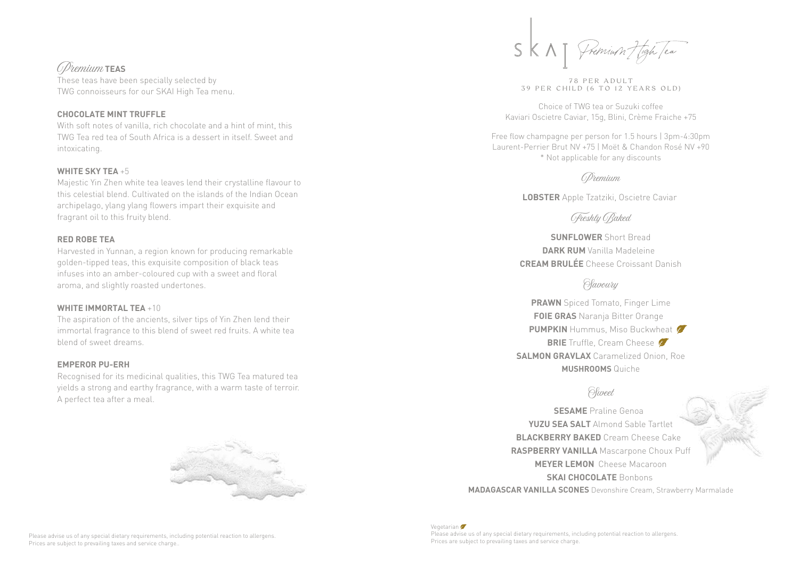# Premium **TEAS**

These teas have been specially selected by TWG connoisseurs for our SKAI High Tea menu.

### **CHOCOLATE MINT TRUFFLE**

With soft notes of vanilla, rich chocolate and a hint of mint, this TWG Tea red tea of South Africa is a dessert in itself. Sweet and intoxicating.

#### **WHITE SKY TEA** +5

Majestic Yin Zhen white tea leaves lend their crystalline flavour to this celestial blend. Cultivated on the islands of the Indian Ocean archipelago, ylang ylang flowers impart their exquisite and fragrant oil to this fruity blend.

#### **RED ROBE TEA**

Harvested in Yunnan, a region known for producing remarkable golden-tipped teas, this exquisite composition of black teas infuses into an amber-coloured cup with a sweet and floral aroma, and slightly roasted undertones.

#### **WHITE IMMORTAL TEA** +10

The aspiration of the ancients, silver tips of Yin Zhen lend their immortal fragrance to this blend of sweet red fruits. A white tea blend of sweet dreams.

### **EMPEROR PU-ERH**

Recognised for its medicinal qualities, this TWG Tea matured tea yields a strong and earthy fragrance, with a warm taste of terroir. A perfect tea after a meal.



78 PER ADULT 39 PER CHILD (6 TO 12 YEARS OLD)

Choice of TWG tea or Suzuki coffee Kaviari Oscietre Caviar, 15g, Blini, Crème Fraiche +75

Free flow champagne per person for 1.5 hours | 3pm-4:30pm Laurent-Perrier Brut NV +75 | Moët & Chandon Rosé NV +90 \* Not applicable for any discounts

Premium

**LOBSTER** Apple Tzatziki, Oscietre Caviar

# Freshly Baked

**SUNFLOWER** Short Bread **DARK RUM** Vanilla Madeleine **CREAM BRULÉE** Cheese Croissant Danish

## *Slavoury*

**PRAWN** Spiced Tomato, Finger Lime **FOIE GRAS** Naranja Bitter Orange **PUMPKIN** Hummus, Miso Buckwheat **BRIE** Truffle, Cream Cheese **SALMON GRAVLAX** Caramelized Onion, Roe **MUSHROOMS** Quiche

### Sweet

**SESAME** Praline Genoa **YUZU SEA SALT** Almond Sable Tartlet **BLACKBERRY BAKED** Cream Cheese Cake **RASPBERRY VANILLA** Mascarpone Choux Puff **MEYER LEMON** Cheese Macaroon **SKAI CHOCOLATE** Bonbons

**MADAGASCAR VANILLA SCONES** Devonshire Cream, Strawberry Marmalade